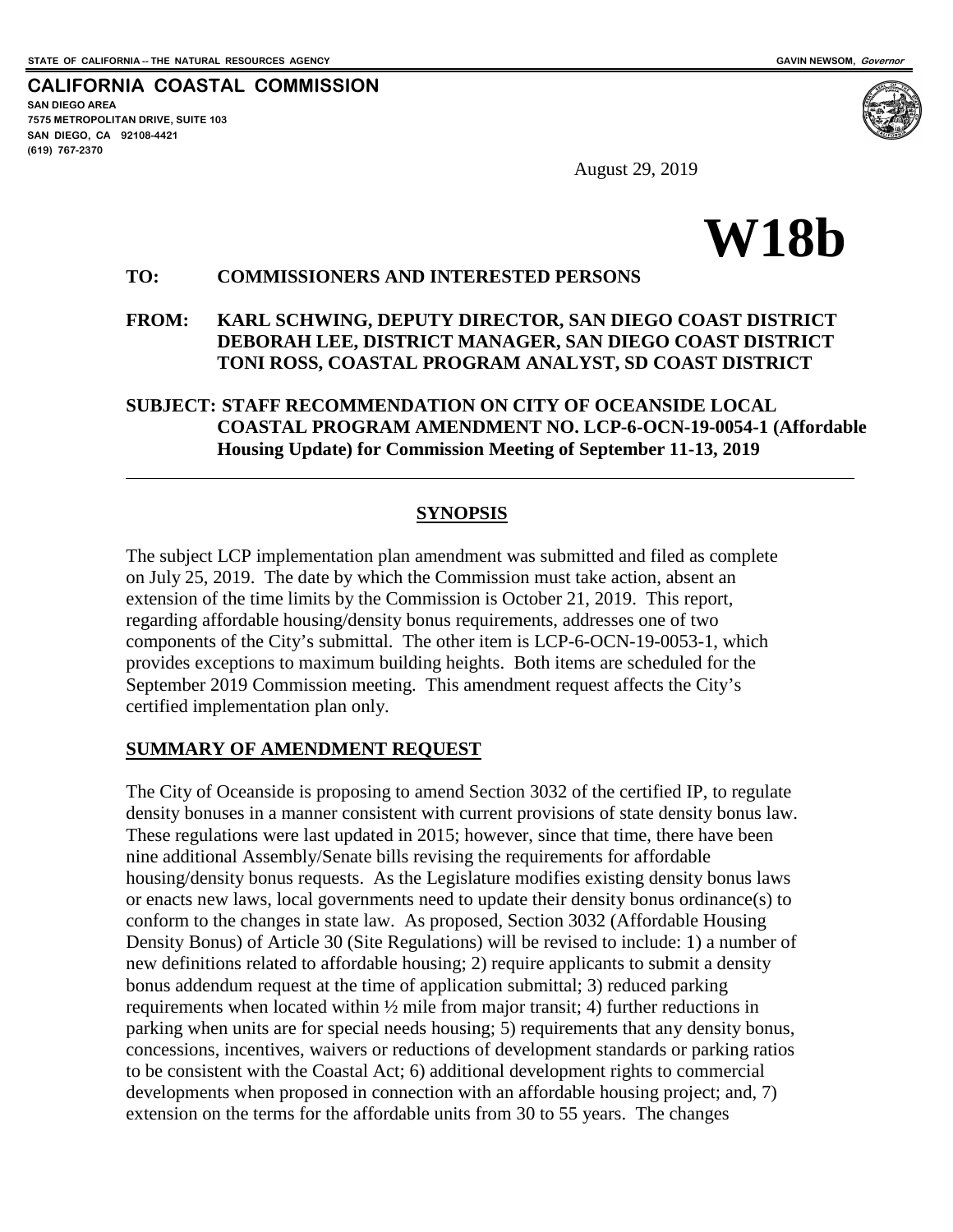**CALIFORNIA COASTAL COMMISSION SAN DIEGO AREA 7575 METROPOLITAN DRIVE, SUITE 103 SAN DIEGO, CA 92108-4421 (619) 767-2370**



August 29, 2019

# **W18b**

## **TO: COMMISSIONERS AND INTERESTED PERSONS**

#### **FROM: KARL SCHWING, DEPUTY DIRECTOR, SAN DIEGO COAST DISTRICT DEBORAH LEE, DISTRICT MANAGER, SAN DIEGO COAST DISTRICT TONI ROSS, COASTAL PROGRAM ANALYST, SD COAST DISTRICT**

## **SUBJECT: STAFF RECOMMENDATION ON CITY OF OCEANSIDE LOCAL COASTAL PROGRAM AMENDMENT NO. LCP-6-OCN-19-0054-1 (Affordable Housing Update) for Commission Meeting of September 11-13, 2019**

## **SYNOPSIS**

The subject LCP implementation plan amendment was submitted and filed as complete on July 25, 2019. The date by which the Commission must take action, absent an extension of the time limits by the Commission is October 21, 2019. This report, regarding affordable housing/density bonus requirements, addresses one of two components of the City's submittal. The other item is LCP-6-OCN-19-0053-1, which provides exceptions to maximum building heights. Both items are scheduled for the September 2019 Commission meeting. This amendment request affects the City's certified implementation plan only.

#### **SUMMARY OF AMENDMENT REQUEST**

The City of Oceanside is proposing to amend Section 3032 of the certified IP, to regulate density bonuses in a manner consistent with current provisions of state density bonus law. These regulations were last updated in 2015; however, since that time, there have been nine additional Assembly/Senate bills revising the requirements for affordable housing/density bonus requests. As the Legislature modifies existing density bonus laws or enacts new laws, local governments need to update their density bonus ordinance(s) to conform to the changes in state law. As proposed, Section 3032 (Affordable Housing Density Bonus) of Article 30 (Site Regulations) will be revised to include: 1) a number of new definitions related to affordable housing; 2) require applicants to submit a density bonus addendum request at the time of application submittal; 3) reduced parking requirements when located within ½ mile from major transit; 4) further reductions in parking when units are for special needs housing; 5) requirements that any density bonus, concessions, incentives, waivers or reductions of development standards or parking ratios to be consistent with the Coastal Act; 6) additional development rights to commercial developments when proposed in connection with an affordable housing project; and, 7) extension on the terms for the affordable units from 30 to 55 years. The changes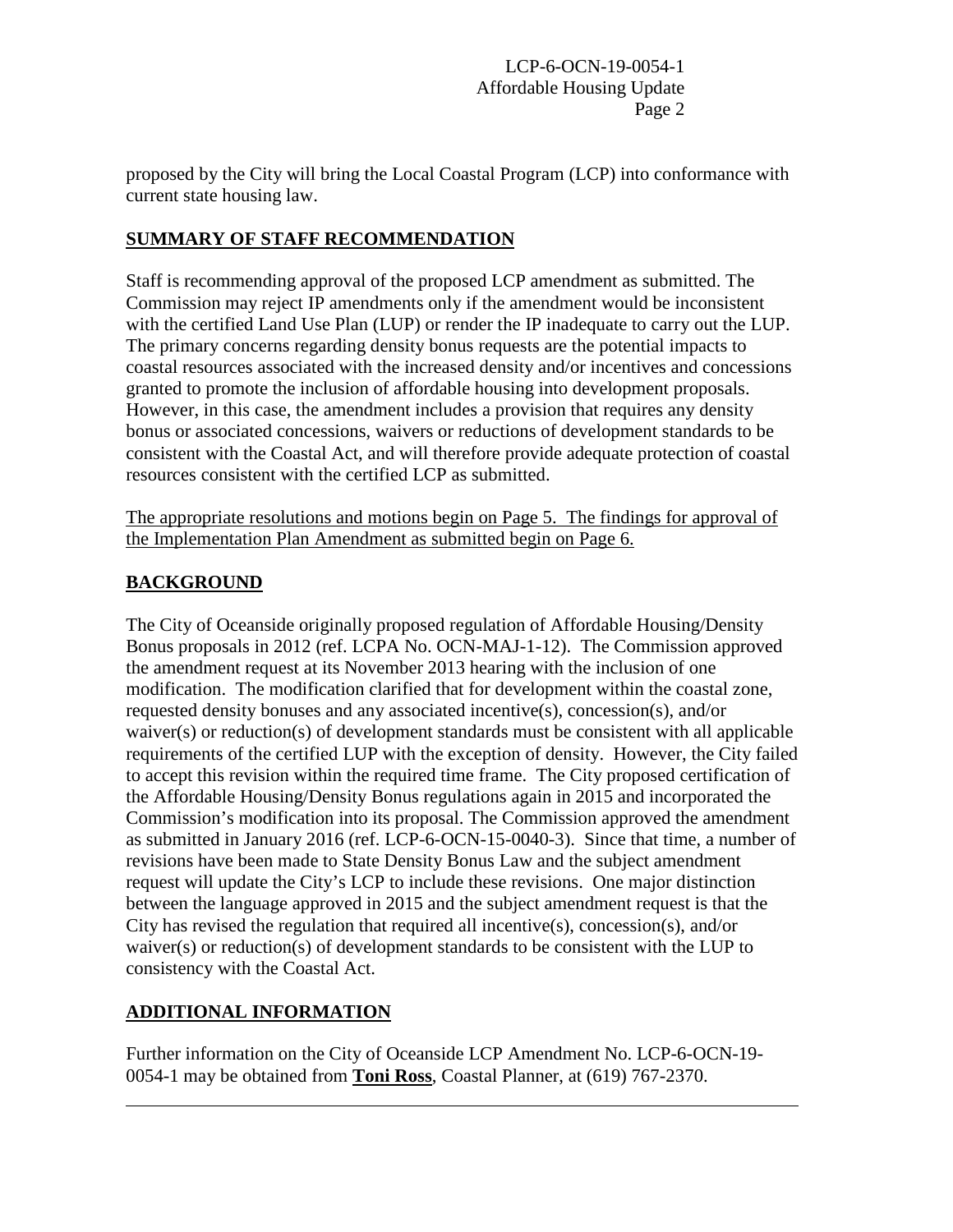proposed by the City will bring the Local Coastal Program (LCP) into conformance with current state housing law.

# **SUMMARY OF STAFF RECOMMENDATION**

Staff is recommending approval of the proposed LCP amendment as submitted. The Commission may reject IP amendments only if the amendment would be inconsistent with the certified Land Use Plan (LUP) or render the IP inadequate to carry out the LUP. The primary concerns regarding density bonus requests are the potential impacts to coastal resources associated with the increased density and/or incentives and concessions granted to promote the inclusion of affordable housing into development proposals. However, in this case, the amendment includes a provision that requires any density bonus or associated concessions, waivers or reductions of development standards to be consistent with the Coastal Act, and will therefore provide adequate protection of coastal resources consistent with the certified LCP as submitted.

The appropriate resolutions and motions begin on Page 5. The findings for approval of the Implementation Plan Amendment as submitted begin on Page 6.

## **BACKGROUND**

The City of Oceanside originally proposed regulation of Affordable Housing/Density Bonus proposals in 2012 (ref. LCPA No. OCN-MAJ-1-12). The Commission approved the amendment request at its November 2013 hearing with the inclusion of one modification. The modification clarified that for development within the coastal zone, requested density bonuses and any associated incentive(s), concession(s), and/or waiver(s) or reduction(s) of development standards must be consistent with all applicable requirements of the certified LUP with the exception of density. However, the City failed to accept this revision within the required time frame. The City proposed certification of the Affordable Housing/Density Bonus regulations again in 2015 and incorporated the Commission's modification into its proposal. The Commission approved the amendment as submitted in January 2016 (ref. LCP-6-OCN-15-0040-3). Since that time, a number of revisions have been made to State Density Bonus Law and the subject amendment request will update the City's LCP to include these revisions. One major distinction between the language approved in 2015 and the subject amendment request is that the City has revised the regulation that required all incentive(s), concession(s), and/or waiver(s) or reduction(s) of development standards to be consistent with the LUP to consistency with the Coastal Act.

# **ADDITIONAL INFORMATION**

Further information on the City of Oceanside LCP Amendment No. LCP-6-OCN-19- 0054-1 may be obtained from **Toni Ross**, Coastal Planner, at (619) 767-2370.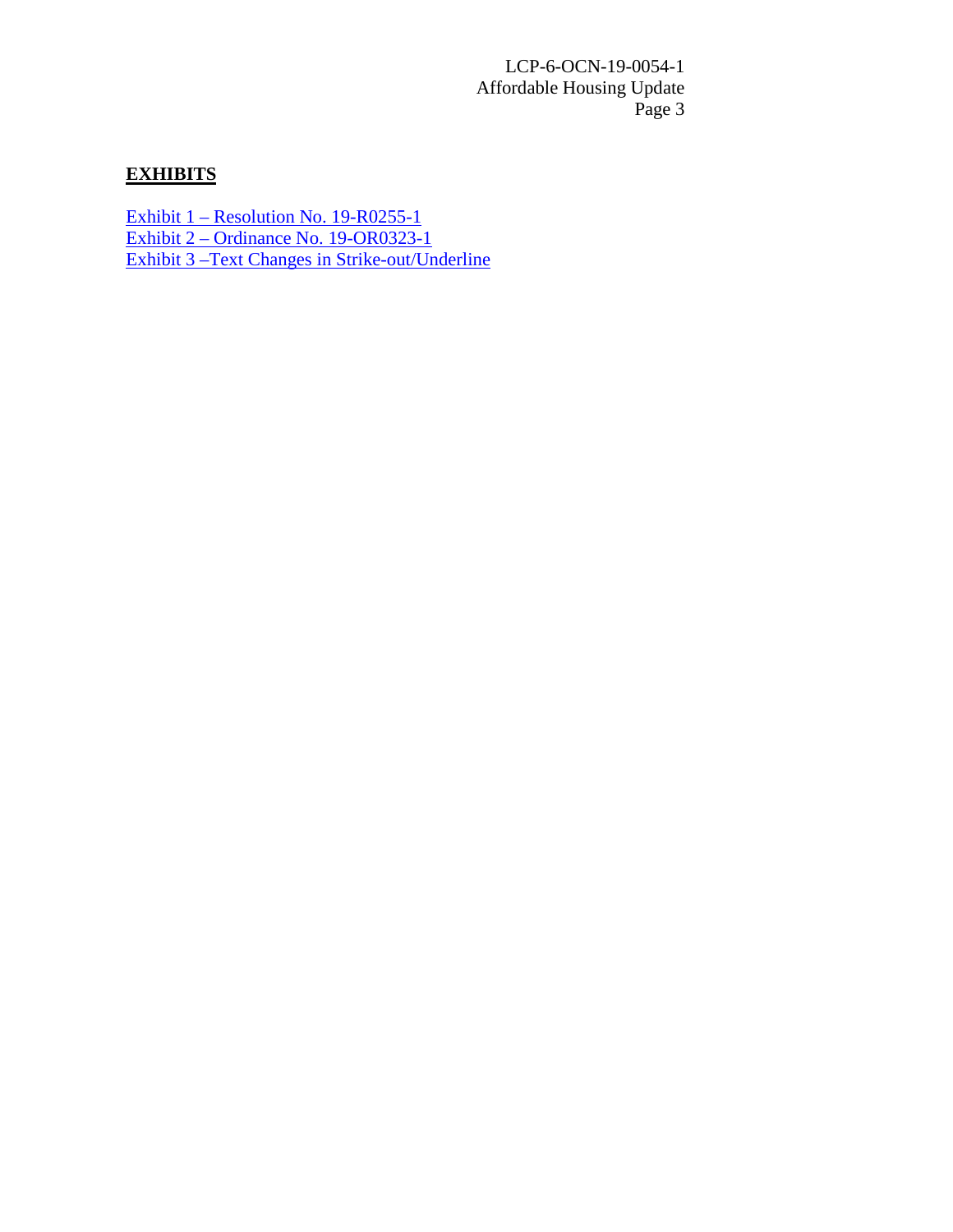# **EXHIBITS**

Exhibit 1 – [Resolution No.](https://documents.coastal.ca.gov/reports/2019/9/w18b/w18b-9-2019-exhibits.pdf) 19-R0255-1 Exhibit 2 – [Ordinance No. 19-OR0323-1](https://documents.coastal.ca.gov/reports/2019/9/w18b/w18b-9-2019-exhibits.pdf) [Exhibit 3 –Text Changes in Strike-out/Underline](https://documents.coastal.ca.gov/reports/2019/9/w18b/w18b-9-2019-exhibits.pdf)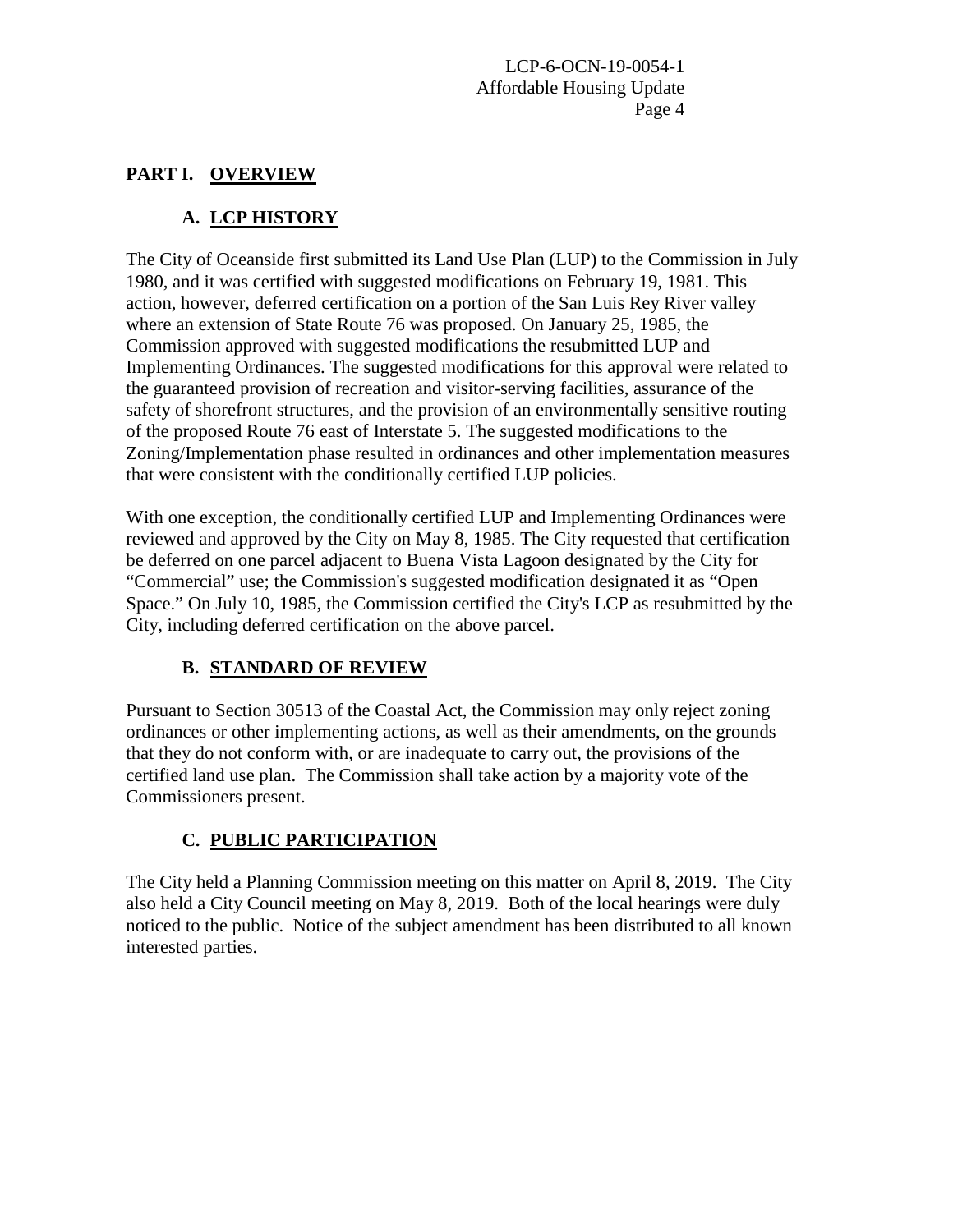## **PART I. OVERVIEW**

# **A. LCP HISTORY**

The City of Oceanside first submitted its Land Use Plan (LUP) to the Commission in July 1980, and it was certified with suggested modifications on February 19, 1981. This action, however, deferred certification on a portion of the San Luis Rey River valley where an extension of State Route 76 was proposed. On January 25, 1985, the Commission approved with suggested modifications the resubmitted LUP and Implementing Ordinances. The suggested modifications for this approval were related to the guaranteed provision of recreation and visitor-serving facilities, assurance of the safety of shorefront structures, and the provision of an environmentally sensitive routing of the proposed Route 76 east of Interstate 5. The suggested modifications to the Zoning/Implementation phase resulted in ordinances and other implementation measures that were consistent with the conditionally certified LUP policies.

With one exception, the conditionally certified LUP and Implementing Ordinances were reviewed and approved by the City on May 8, 1985. The City requested that certification be deferred on one parcel adjacent to Buena Vista Lagoon designated by the City for "Commercial" use; the Commission's suggested modification designated it as "Open Space." On July 10, 1985, the Commission certified the City's LCP as resubmitted by the City, including deferred certification on the above parcel.

# **B. STANDARD OF REVIEW**

Pursuant to Section 30513 of the Coastal Act, the Commission may only reject zoning ordinances or other implementing actions, as well as their amendments, on the grounds that they do not conform with, or are inadequate to carry out, the provisions of the certified land use plan. The Commission shall take action by a majority vote of the Commissioners present.

# **C. PUBLIC PARTICIPATION**

The City held a Planning Commission meeting on this matter on April 8, 2019. The City also held a City Council meeting on May 8, 2019. Both of the local hearings were duly noticed to the public. Notice of the subject amendment has been distributed to all known interested parties.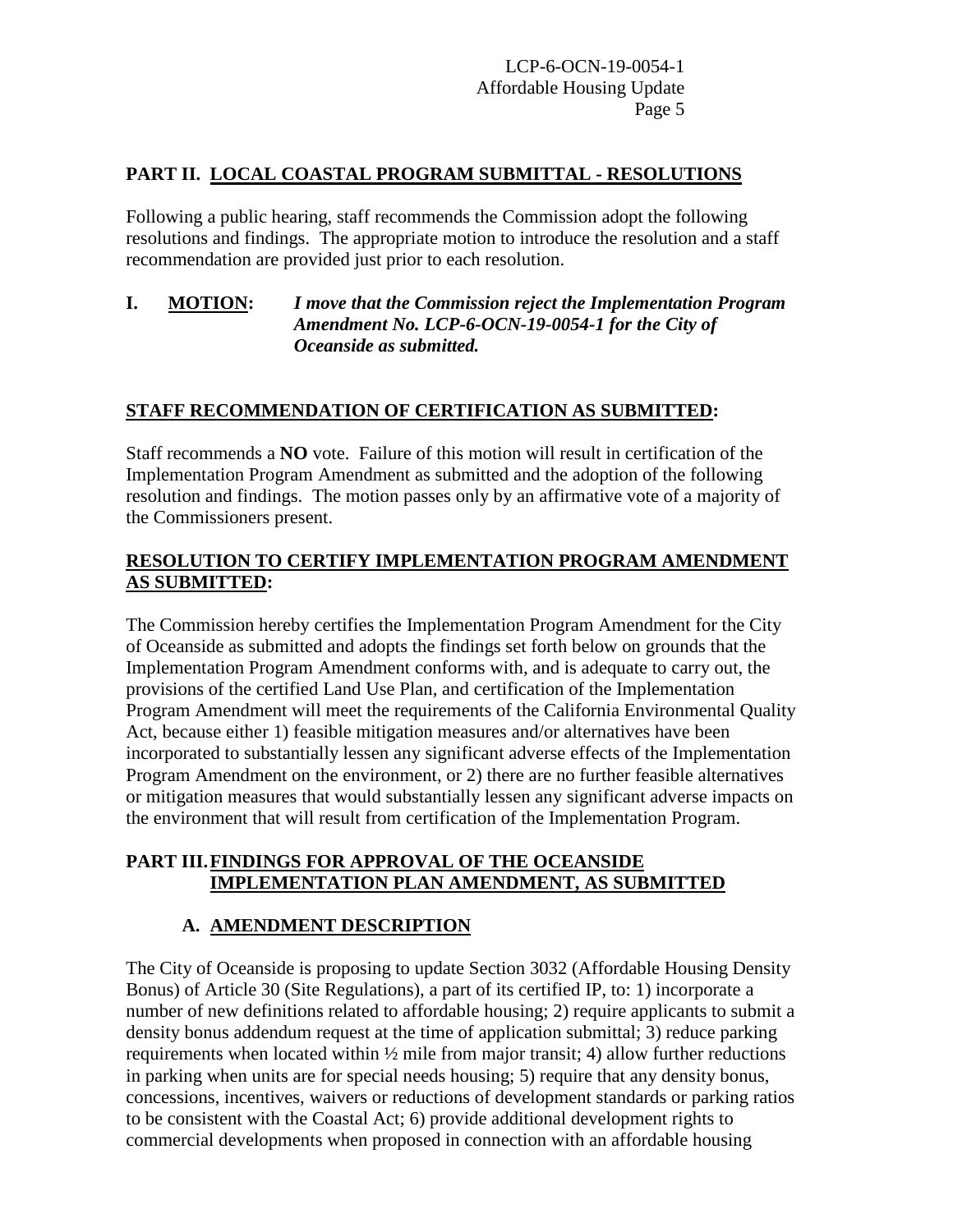## **PART II. LOCAL COASTAL PROGRAM SUBMITTAL - RESOLUTIONS**

Following a public hearing, staff recommends the Commission adopt the following resolutions and findings. The appropriate motion to introduce the resolution and a staff recommendation are provided just prior to each resolution.

## **I. MOTION:** *I move that the Commission reject the Implementation Program Amendment No. LCP-6-OCN-19-0054-1 for the City of Oceanside as submitted.*

## **STAFF RECOMMENDATION OF CERTIFICATION AS SUBMITTED:**

Staff recommends a **NO** vote. Failure of this motion will result in certification of the Implementation Program Amendment as submitted and the adoption of the following resolution and findings. The motion passes only by an affirmative vote of a majority of the Commissioners present.

## **RESOLUTION TO CERTIFY IMPLEMENTATION PROGRAM AMENDMENT AS SUBMITTED:**

The Commission hereby certifies the Implementation Program Amendment for the City of Oceanside as submitted and adopts the findings set forth below on grounds that the Implementation Program Amendment conforms with, and is adequate to carry out, the provisions of the certified Land Use Plan, and certification of the Implementation Program Amendment will meet the requirements of the California Environmental Quality Act, because either 1) feasible mitigation measures and/or alternatives have been incorporated to substantially lessen any significant adverse effects of the Implementation Program Amendment on the environment, or 2) there are no further feasible alternatives or mitigation measures that would substantially lessen any significant adverse impacts on the environment that will result from certification of the Implementation Program.

## **PART III.FINDINGS FOR APPROVAL OF THE OCEANSIDE IMPLEMENTATION PLAN AMENDMENT, AS SUBMITTED**

#### **A. AMENDMENT DESCRIPTION**

The City of Oceanside is proposing to update Section 3032 (Affordable Housing Density Bonus) of Article 30 (Site Regulations), a part of its certified IP, to: 1) incorporate a number of new definitions related to affordable housing; 2) require applicants to submit a density bonus addendum request at the time of application submittal; 3) reduce parking requirements when located within ½ mile from major transit; 4) allow further reductions in parking when units are for special needs housing; 5) require that any density bonus, concessions, incentives, waivers or reductions of development standards or parking ratios to be consistent with the Coastal Act; 6) provide additional development rights to commercial developments when proposed in connection with an affordable housing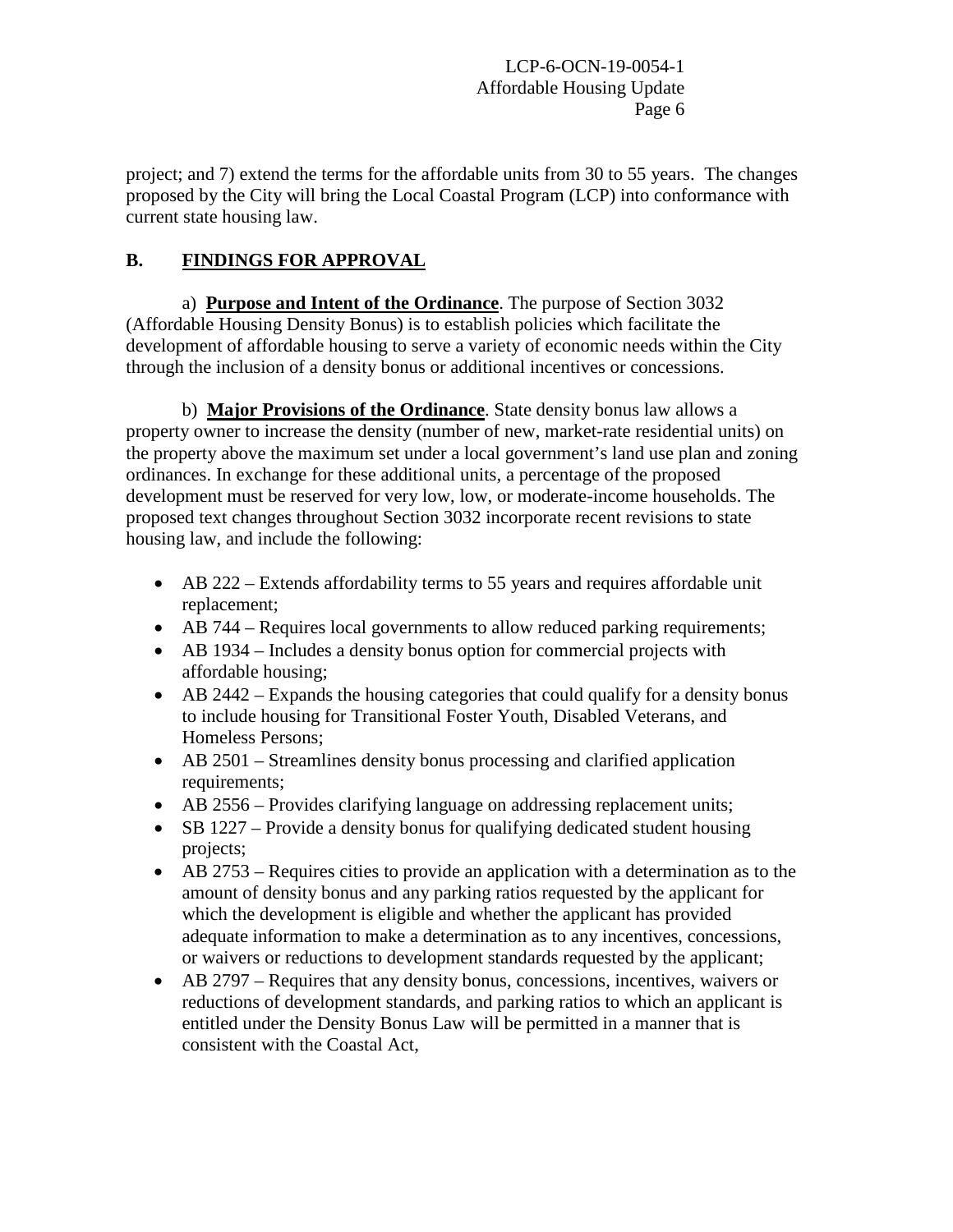project; and 7) extend the terms for the affordable units from 30 to 55 years. The changes proposed by the City will bring the Local Coastal Program (LCP) into conformance with current state housing law.

# **B. FINDINGS FOR APPROVAL**

a) **Purpose and Intent of the Ordinance**. The purpose of Section 3032 (Affordable Housing Density Bonus) is to establish policies which facilitate the development of affordable housing to serve a variety of economic needs within the City through the inclusion of a density bonus or additional incentives or concessions.

b) **Major Provisions of the Ordinance**. State density bonus law allows a property owner to increase the density (number of new, market-rate residential units) on the property above the maximum set under a local government's land use plan and zoning ordinances. In exchange for these additional units, a percentage of the proposed development must be reserved for very low, low, or moderate-income households. The proposed text changes throughout Section 3032 incorporate recent revisions to state housing law, and include the following:

- AB 222 Extends affordability terms to 55 years and requires affordable unit replacement;
- AB 744 Requires local governments to allow reduced parking requirements;
- AB 1934 Includes a density bonus option for commercial projects with affordable housing;
- AB 2442 Expands the housing categories that could qualify for a density bonus to include housing for Transitional Foster Youth, Disabled Veterans, and Homeless Persons;
- AB 2501 Streamlines density bonus processing and clarified application requirements;
- AB 2556 Provides clarifying language on addressing replacement units;
- SB 1227 Provide a density bonus for qualifying dedicated student housing projects;
- AB 2753 Requires cities to provide an application with a determination as to the amount of density bonus and any parking ratios requested by the applicant for which the development is eligible and whether the applicant has provided adequate information to make a determination as to any incentives, concessions, or waivers or reductions to development standards requested by the applicant;
- AB 2797 Requires that any density bonus, concessions, incentives, waivers or reductions of development standards, and parking ratios to which an applicant is entitled under the Density Bonus Law will be permitted in a manner that is consistent with the Coastal Act,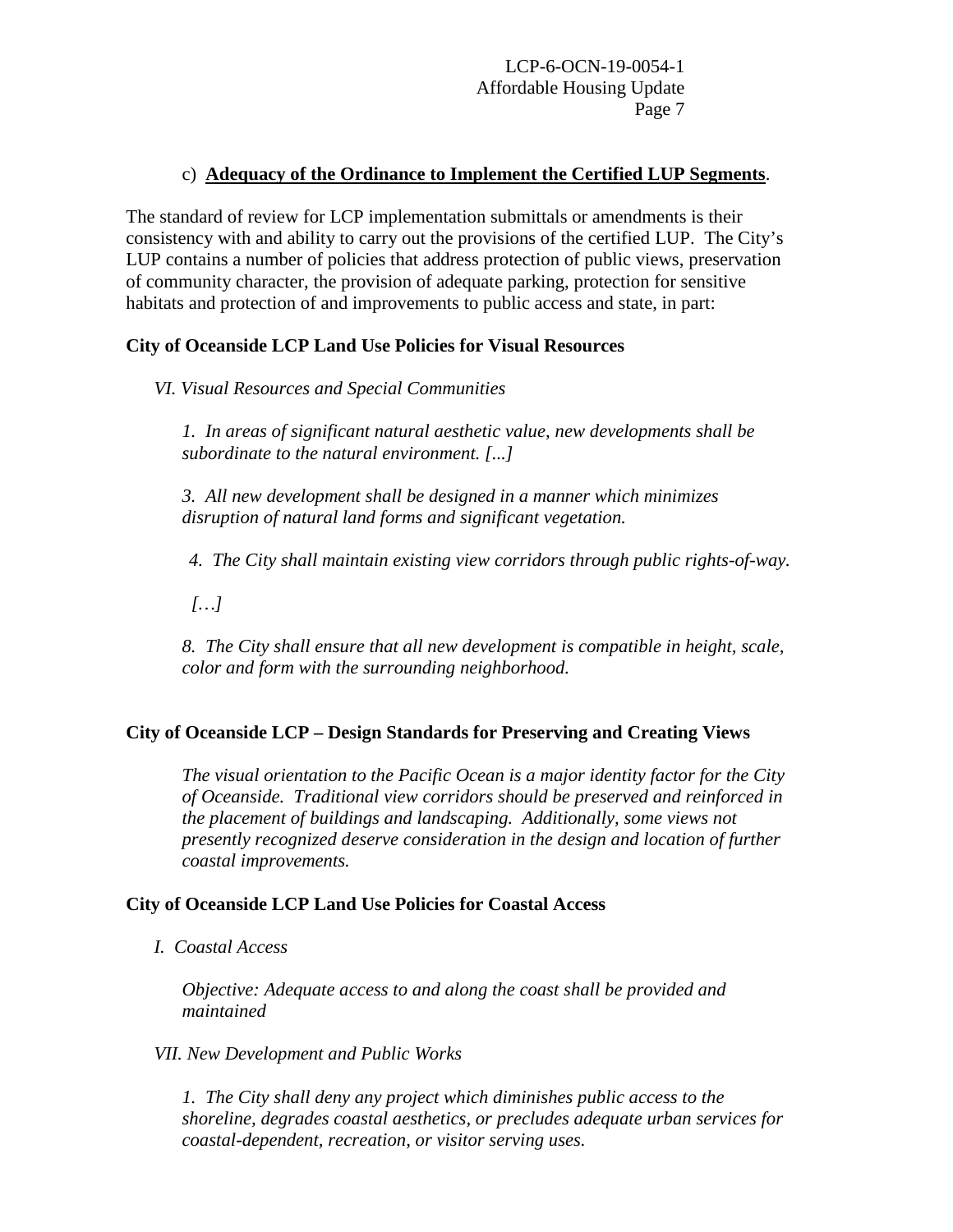## c) **Adequacy of the Ordinance to Implement the Certified LUP Segments**.

The standard of review for LCP implementation submittals or amendments is their consistency with and ability to carry out the provisions of the certified LUP. The City's LUP contains a number of policies that address protection of public views, preservation of community character, the provision of adequate parking, protection for sensitive habitats and protection of and improvements to public access and state, in part:

## **City of Oceanside LCP Land Use Policies for Visual Resources**

*VI. Visual Resources and Special Communities*

*1. In areas of significant natural aesthetic value, new developments shall be subordinate to the natural environment. [...]*

*3. All new development shall be designed in a manner which minimizes disruption of natural land forms and significant vegetation.*

*4. The City shall maintain existing view corridors through public rights-of-way.*

 *[…]*

*8. The City shall ensure that all new development is compatible in height, scale, color and form with the surrounding neighborhood.*

## **City of Oceanside LCP – Design Standards for Preserving and Creating Views**

*The visual orientation to the Pacific Ocean is a major identity factor for the City of Oceanside. Traditional view corridors should be preserved and reinforced in the placement of buildings and landscaping. Additionally, some views not presently recognized deserve consideration in the design and location of further coastal improvements.*

#### **City of Oceanside LCP Land Use Policies for Coastal Access**

*I. Coastal Access*

*Objective: Adequate access to and along the coast shall be provided and maintained*

#### *VII. New Development and Public Works*

*1. The City shall deny any project which diminishes public access to the shoreline, degrades coastal aesthetics, or precludes adequate urban services for coastal-dependent, recreation, or visitor serving uses.*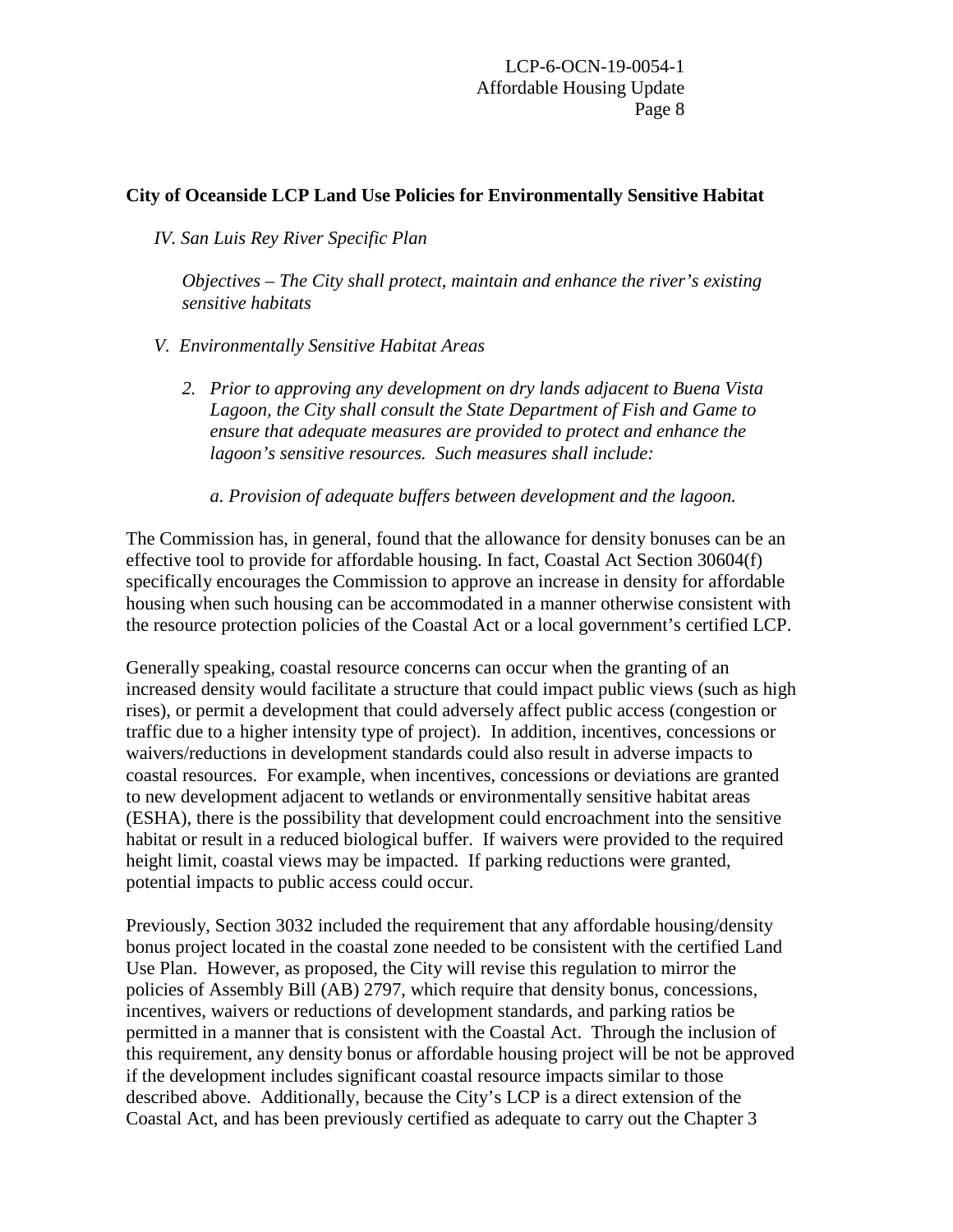#### **City of Oceanside LCP Land Use Policies for Environmentally Sensitive Habitat**

*IV. San Luis Rey River Specific Plan*

*Objectives – The City shall protect, maintain and enhance the river's existing sensitive habitats*

- *V. Environmentally Sensitive Habitat Areas*
	- *2. Prior to approving any development on dry lands adjacent to Buena Vista Lagoon, the City shall consult the State Department of Fish and Game to ensure that adequate measures are provided to protect and enhance the lagoon's sensitive resources. Such measures shall include:*
		- *a. Provision of adequate buffers between development and the lagoon.*

The Commission has, in general, found that the allowance for density bonuses can be an effective tool to provide for affordable housing. In fact, Coastal Act Section 30604(f) specifically encourages the Commission to approve an increase in density for affordable housing when such housing can be accommodated in a manner otherwise consistent with the resource protection policies of the Coastal Act or a local government's certified LCP.

Generally speaking, coastal resource concerns can occur when the granting of an increased density would facilitate a structure that could impact public views (such as high rises), or permit a development that could adversely affect public access (congestion or traffic due to a higher intensity type of project). In addition, incentives, concessions or waivers/reductions in development standards could also result in adverse impacts to coastal resources. For example, when incentives, concessions or deviations are granted to new development adjacent to wetlands or environmentally sensitive habitat areas (ESHA), there is the possibility that development could encroachment into the sensitive habitat or result in a reduced biological buffer. If waivers were provided to the required height limit, coastal views may be impacted. If parking reductions were granted, potential impacts to public access could occur.

Previously, Section 3032 included the requirement that any affordable housing/density bonus project located in the coastal zone needed to be consistent with the certified Land Use Plan. However, as proposed, the City will revise this regulation to mirror the policies of Assembly Bill (AB) 2797, which require that density bonus, concessions, incentives, waivers or reductions of development standards, and parking ratios be permitted in a manner that is consistent with the Coastal Act. Through the inclusion of this requirement, any density bonus or affordable housing project will be not be approved if the development includes significant coastal resource impacts similar to those described above. Additionally, because the City's LCP is a direct extension of the Coastal Act, and has been previously certified as adequate to carry out the Chapter 3